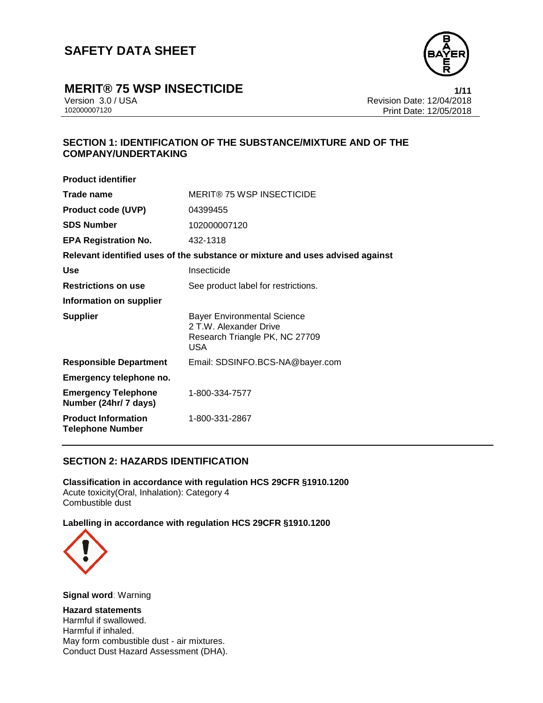

# **MERIT® 75 WSP INSECTICIDE**<br>Version 3.0 / USA **1/11**<br>Revision Date: 12/04/2018

Version 3.0 / USA Revision Date: 12/04/2018 Print Date: 12/05/2018

## **SECTION 1: IDENTIFICATION OF THE SUBSTANCE/MIXTURE AND OF THE COMPANY/UNDERTAKING**

| <b>Product identifier</b>                                                     |                                                                                                              |  |
|-------------------------------------------------------------------------------|--------------------------------------------------------------------------------------------------------------|--|
| Trade name                                                                    | <b>MERIT® 75 WSP INSECTICIDE</b>                                                                             |  |
| <b>Product code (UVP)</b>                                                     | 04399455                                                                                                     |  |
| <b>SDS Number</b>                                                             | 102000007120                                                                                                 |  |
| <b>EPA Registration No.</b>                                                   | 432-1318                                                                                                     |  |
| Relevant identified uses of the substance or mixture and uses advised against |                                                                                                              |  |
| <b>Use</b>                                                                    | Insecticide                                                                                                  |  |
| <b>Restrictions on use</b>                                                    | See product label for restrictions.                                                                          |  |
| Information on supplier                                                       |                                                                                                              |  |
| <b>Supplier</b>                                                               | <b>Bayer Environmental Science</b><br>2 T.W. Alexander Drive<br>Research Triangle PK, NC 27709<br><b>USA</b> |  |
| <b>Responsible Department</b>                                                 | Email: SDSINFO.BCS-NA@bayer.com                                                                              |  |
| Emergency telephone no.                                                       |                                                                                                              |  |
| <b>Emergency Telephone</b><br>Number (24hr/ 7 days)                           | 1-800-334-7577                                                                                               |  |
| <b>Product Information</b><br><b>Telephone Number</b>                         | 1-800-331-2867                                                                                               |  |

### **SECTION 2: HAZARDS IDENTIFICATION**

**Classification in accordance with regulation HCS 29CFR §1910.1200** Acute toxicity(Oral, Inhalation): Category 4 Combustible dust

#### **Labelling in accordance with regulation HCS 29CFR §1910.1200**



**Signal word**: Warning

**Hazard statements** Harmful if swallowed. Harmful if inhaled. May form combustible dust - air mixtures. Conduct Dust Hazard Assessment (DHA).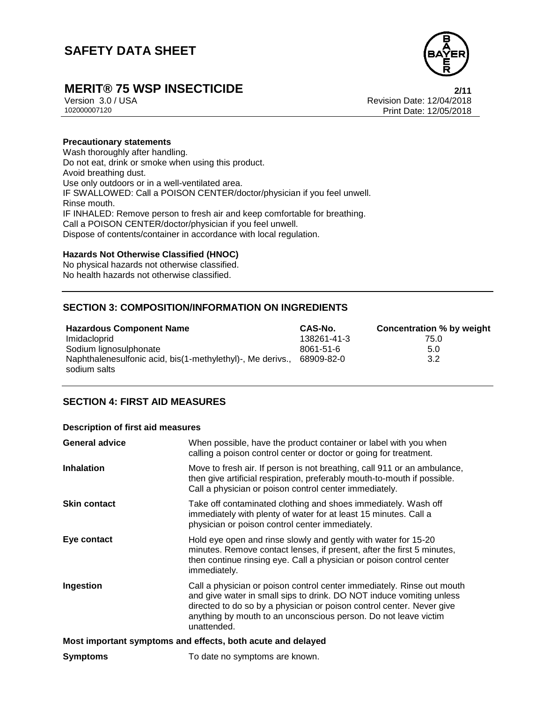

# **MERIT® 75 WSP INSECTICIDE**<br>Version 3.0 / USA **Property Account 2/11** Revision Date: 12/04/2018

Version 3.0 / USA Revision Date: 12/04/2018 Print Date: 12/05/2018

#### **Precautionary statements**

Wash thoroughly after handling. Do not eat, drink or smoke when using this product. Avoid breathing dust. Use only outdoors or in a well-ventilated area. IF SWALLOWED: Call a POISON CENTER/doctor/physician if you feel unwell. Rinse mouth. IF INHALED: Remove person to fresh air and keep comfortable for breathing. Call a POISON CENTER/doctor/physician if you feel unwell. Dispose of contents/container in accordance with local regulation.

#### **Hazards Not Otherwise Classified (HNOC)**

No physical hazards not otherwise classified. No health hazards not otherwise classified.

## **SECTION 3: COMPOSITION/INFORMATION ON INGREDIENTS**

| <b>Hazardous Component Name</b>                            | CAS-No.         | <b>Concentration % by weight</b> |
|------------------------------------------------------------|-----------------|----------------------------------|
| Imidacloprid                                               | 138261-41-3     | 75.0                             |
| Sodium lignosulphonate                                     | $8061 - 51 - 6$ | 5.0                              |
| Naphthalenesulfonic acid, bis(1-methylethyl)-, Me derivs., | 68909-82-0      | 3.2                              |
| sodium salts                                               |                 |                                  |

### **SECTION 4: FIRST AID MEASURES**

#### **Description of first aid measures**

| <b>General advice</b>                                       | When possible, have the product container or label with you when<br>calling a poison control center or doctor or going for treatment.                                                                                                                                                                     |  |
|-------------------------------------------------------------|-----------------------------------------------------------------------------------------------------------------------------------------------------------------------------------------------------------------------------------------------------------------------------------------------------------|--|
| <b>Inhalation</b>                                           | Move to fresh air. If person is not breathing, call 911 or an ambulance,<br>then give artificial respiration, preferably mouth-to-mouth if possible.<br>Call a physician or poison control center immediately.                                                                                            |  |
| <b>Skin contact</b>                                         | Take off contaminated clothing and shoes immediately. Wash off<br>immediately with plenty of water for at least 15 minutes. Call a<br>physician or poison control center immediately.                                                                                                                     |  |
| Eye contact                                                 | Hold eye open and rinse slowly and gently with water for 15-20<br>minutes. Remove contact lenses, if present, after the first 5 minutes,<br>then continue rinsing eye. Call a physician or poison control center<br>immediately.                                                                          |  |
| Ingestion                                                   | Call a physician or poison control center immediately. Rinse out mouth<br>and give water in small sips to drink. DO NOT induce vomiting unless<br>directed to do so by a physician or poison control center. Never give<br>anything by mouth to an unconscious person. Do not leave victim<br>unattended. |  |
| Most important symptoms and effects, both acute and delayed |                                                                                                                                                                                                                                                                                                           |  |
| <b>Symptoms</b>                                             | To date no symptoms are known.                                                                                                                                                                                                                                                                            |  |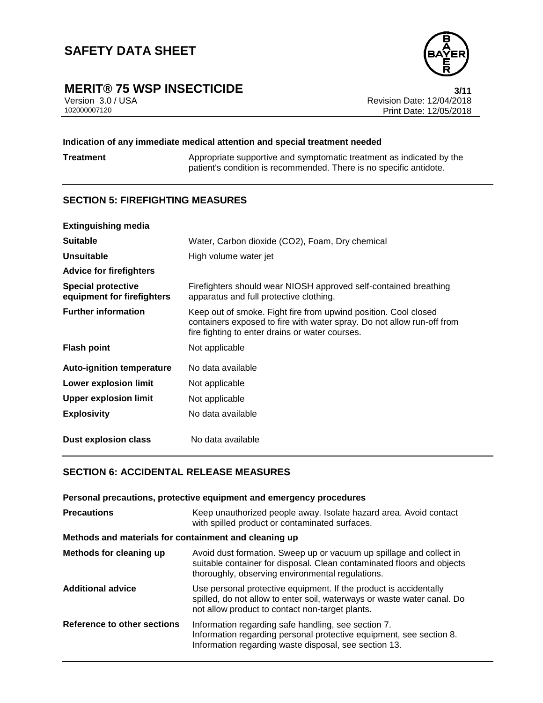

# **MERIT® 75 WSP INSECTICIDE**<br>Version 3.0/USA **12/04/2018**

Version 3.0 / USA Revision Date: 12/04/2018<br>102000007120 Print Date: 12/05/2018 Print Date: 12/05/2018

### **Indication of any immediate medical attention and special treatment needed**

**Treatment** Appropriate supportive and symptomatic treatment as indicated by the patient's condition is recommended. There is no specific antidote.

## **SECTION 5: FIREFIGHTING MEASURES**

| <b>Extinguishing media</b>                              |                                                                                                                                                                                              |
|---------------------------------------------------------|----------------------------------------------------------------------------------------------------------------------------------------------------------------------------------------------|
| <b>Suitable</b>                                         | Water, Carbon dioxide (CO2), Foam, Dry chemical                                                                                                                                              |
| Unsuitable                                              | High volume water jet                                                                                                                                                                        |
| <b>Advice for firefighters</b>                          |                                                                                                                                                                                              |
| <b>Special protective</b><br>equipment for firefighters | Firefighters should wear NIOSH approved self-contained breathing<br>apparatus and full protective clothing.                                                                                  |
| <b>Further information</b>                              | Keep out of smoke. Fight fire from upwind position. Cool closed<br>containers exposed to fire with water spray. Do not allow run-off from<br>fire fighting to enter drains or water courses. |
| <b>Flash point</b>                                      | Not applicable                                                                                                                                                                               |
| <b>Auto-ignition temperature</b>                        | No data available                                                                                                                                                                            |
| Lower explosion limit                                   | Not applicable                                                                                                                                                                               |
| <b>Upper explosion limit</b>                            | Not applicable                                                                                                                                                                               |
| <b>Explosivity</b>                                      | No data available                                                                                                                                                                            |
| <b>Dust explosion class</b>                             | No data available                                                                                                                                                                            |

## **SECTION 6: ACCIDENTAL RELEASE MEASURES**

| Personal precautions, protective equipment and emergency procedures |                                                                                                                                                                                                   |  |
|---------------------------------------------------------------------|---------------------------------------------------------------------------------------------------------------------------------------------------------------------------------------------------|--|
| <b>Precautions</b>                                                  | Keep unauthorized people away. Isolate hazard area. Avoid contact<br>with spilled product or contaminated surfaces.                                                                               |  |
| Methods and materials for containment and cleaning up               |                                                                                                                                                                                                   |  |
| Methods for cleaning up                                             | Avoid dust formation. Sweep up or vacuum up spillage and collect in<br>suitable container for disposal. Clean contaminated floors and objects<br>thoroughly, observing environmental regulations. |  |
| <b>Additional advice</b>                                            | Use personal protective equipment. If the product is accidentally<br>spilled, do not allow to enter soil, waterways or waste water canal. Do<br>not allow product to contact non-target plants.   |  |
| Reference to other sections                                         | Information regarding safe handling, see section 7.<br>Information regarding personal protective equipment, see section 8.<br>Information regarding waste disposal, see section 13.               |  |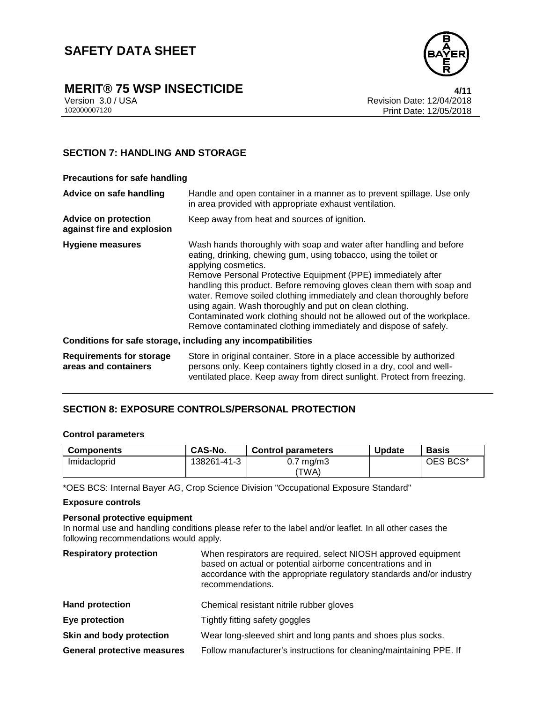

# **MERIT® 75 WSP INSECTICIDE**<br>Version 3.0 / USA **1/11**<br>Revision Date: 12/04/2018

### **SECTION 7: HANDLING AND STORAGE**

| <b>Precautions for safe handling</b>                      |                                                                                                                                                                                                                                                                                                                                                                                                                                                                                                                                                                                            |
|-----------------------------------------------------------|--------------------------------------------------------------------------------------------------------------------------------------------------------------------------------------------------------------------------------------------------------------------------------------------------------------------------------------------------------------------------------------------------------------------------------------------------------------------------------------------------------------------------------------------------------------------------------------------|
| Advice on safe handling                                   | Handle and open container in a manner as to prevent spillage. Use only<br>in area provided with appropriate exhaust ventilation.                                                                                                                                                                                                                                                                                                                                                                                                                                                           |
| <b>Advice on protection</b><br>against fire and explosion | Keep away from heat and sources of ignition.                                                                                                                                                                                                                                                                                                                                                                                                                                                                                                                                               |
| Hygiene measures                                          | Wash hands thoroughly with soap and water after handling and before<br>eating, drinking, chewing gum, using tobacco, using the toilet or<br>applying cosmetics.<br>Remove Personal Protective Equipment (PPE) immediately after<br>handling this product. Before removing gloves clean them with soap and<br>water. Remove soiled clothing immediately and clean thoroughly before<br>using again. Wash thoroughly and put on clean clothing.<br>Contaminated work clothing should not be allowed out of the workplace.<br>Remove contaminated clothing immediately and dispose of safely. |
|                                                           | Conditions for safe storage, including any incompatibilities                                                                                                                                                                                                                                                                                                                                                                                                                                                                                                                               |
| <b>Requirements for storage</b><br>areas and containers   | Store in original container. Store in a place accessible by authorized<br>persons only. Keep containers tightly closed in a dry, cool and well-<br>ventilated place. Keep away from direct sunlight. Protect from freezing.                                                                                                                                                                                                                                                                                                                                                                |

### **SECTION 8: EXPOSURE CONTROLS/PERSONAL PROTECTION**

#### **Control parameters**

| <b>Components</b> | CAS-No.     | <b>Control parameters</b>     | <b>Update</b> | <b>Basis</b> |
|-------------------|-------------|-------------------------------|---------------|--------------|
| Imidacloprid      | 138261-41-3 | $0.7 \text{ mg/m}$ 3<br>'TWA) |               | OES BCS*     |

\*OES BCS: Internal Bayer AG, Crop Science Division "Occupational Exposure Standard"

#### **Exposure controls**

#### **Personal protective equipment**

In normal use and handling conditions please refer to the label and/or leaflet. In all other cases the following recommendations would apply.

| <b>Respiratory protection</b>      | When respirators are required, select NIOSH approved equipment<br>based on actual or potential airborne concentrations and in<br>accordance with the appropriate regulatory standards and/or industry<br>recommendations. |
|------------------------------------|---------------------------------------------------------------------------------------------------------------------------------------------------------------------------------------------------------------------------|
| <b>Hand protection</b>             | Chemical resistant nitrile rubber gloves                                                                                                                                                                                  |
| Eye protection                     | Tightly fitting safety goggles                                                                                                                                                                                            |
| Skin and body protection           | Wear long-sleeved shirt and long pants and shoes plus socks.                                                                                                                                                              |
| <b>General protective measures</b> | Follow manufacturer's instructions for cleaning/maintaining PPE. If                                                                                                                                                       |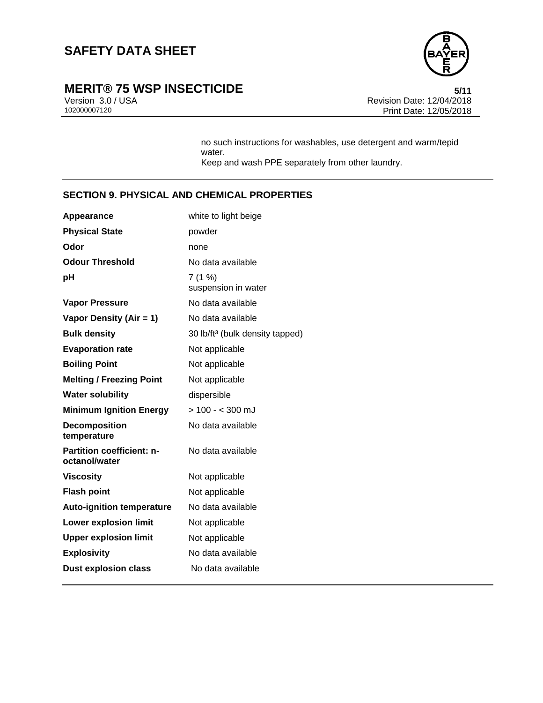

# **MERIT® 75 WSP INSECTICIDE**<br>Version 3.0/USA **by a set of the Section 3.0/USA by a set of the Section Date:** 12/04/2018

Version 3.0 / USA Revision Date: 12/04/2018<br>102000007120 Print Date: 12/05/2018 Print Date: 12/05/2018

> no such instructions for washables, use detergent and warm/tepid water. Keep and wash PPE separately from other laundry.

## **SECTION 9. PHYSICAL AND CHEMICAL PROPERTIES**

| Appearance                                        | white to light beige                        |
|---------------------------------------------------|---------------------------------------------|
| <b>Physical State</b>                             | powder                                      |
| Odor                                              | none                                        |
| <b>Odour Threshold</b>                            | No data available                           |
| рH                                                | 7(1%)<br>suspension in water                |
| <b>Vapor Pressure</b>                             | No data available                           |
| Vapor Density (Air = 1)                           | No data available                           |
| <b>Bulk density</b>                               | 30 lb/ft <sup>3</sup> (bulk density tapped) |
| <b>Evaporation rate</b>                           | Not applicable                              |
| <b>Boiling Point</b>                              | Not applicable                              |
| <b>Melting / Freezing Point</b>                   | Not applicable                              |
| <b>Water solubility</b>                           | dispersible                                 |
| <b>Minimum Ignition Energy</b>                    | $> 100 - 300$ mJ                            |
| <b>Decomposition</b><br>temperature               | No data available                           |
| <b>Partition coefficient: n-</b><br>octanol/water | No data available                           |
| <b>Viscosity</b>                                  | Not applicable                              |
| <b>Flash point</b>                                | Not applicable                              |
| <b>Auto-ignition temperature</b>                  | No data available                           |
| <b>Lower explosion limit</b>                      | Not applicable                              |
| <b>Upper explosion limit</b>                      | Not applicable                              |
| <b>Explosivity</b>                                | No data available                           |
| <b>Dust explosion class</b>                       | No data available                           |
|                                                   |                                             |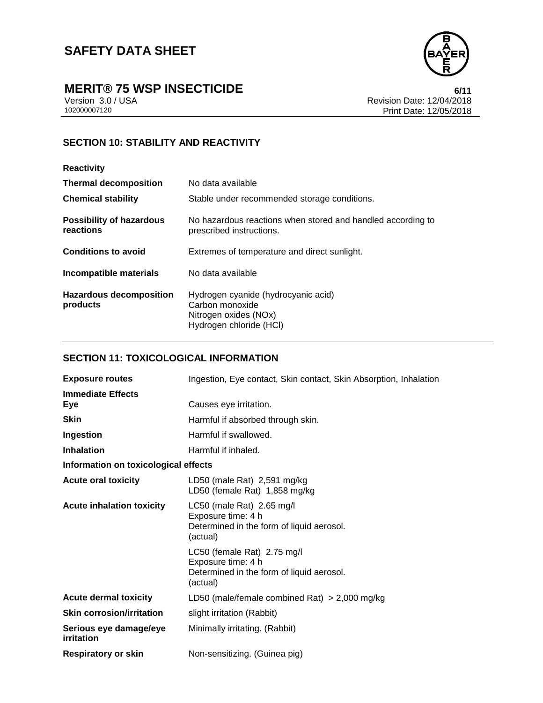

# **MERIT® 75 WSP INSECTICIDE**<br>Version 3.0/USA **by Case 12/04/2018**

Version 3.0 / USA Revision Date: 12/04/2018<br>102000007120 Print Date: 12/05/2018 Print Date: 12/05/2018

## **SECTION 10: STABILITY AND REACTIVITY**

| <b>Reactivity</b>                            |                                                                                                            |
|----------------------------------------------|------------------------------------------------------------------------------------------------------------|
| <b>Thermal decomposition</b>                 | No data available                                                                                          |
| <b>Chemical stability</b>                    | Stable under recommended storage conditions.                                                               |
| <b>Possibility of hazardous</b><br>reactions | No hazardous reactions when stored and handled according to<br>prescribed instructions.                    |
| <b>Conditions to avoid</b>                   | Extremes of temperature and direct sunlight.                                                               |
| Incompatible materials                       | No data available                                                                                          |
| <b>Hazardous decomposition</b><br>products   | Hydrogen cyanide (hydrocyanic acid)<br>Carbon monoxide<br>Nitrogen oxides (NOx)<br>Hydrogen chloride (HCI) |

## **SECTION 11: TOXICOLOGICAL INFORMATION**

| <b>Exposure routes</b>               | Ingestion, Eye contact, Skin contact, Skin Absorption, Inhalation                                          |  |
|--------------------------------------|------------------------------------------------------------------------------------------------------------|--|
| <b>Immediate Effects</b><br>Eye      | Causes eye irritation.                                                                                     |  |
| <b>Skin</b>                          | Harmful if absorbed through skin.                                                                          |  |
| Ingestion                            | Harmful if swallowed.                                                                                      |  |
| <b>Inhalation</b>                    | Harmful if inhaled.                                                                                        |  |
| Information on toxicological effects |                                                                                                            |  |
| <b>Acute oral toxicity</b>           | LD50 (male Rat) 2,591 mg/kg<br>LD50 (female Rat) 1,858 mg/kg                                               |  |
| <b>Acute inhalation toxicity</b>     | LC50 (male Rat) 2.65 mg/l<br>Exposure time: 4 h<br>Determined in the form of liquid aerosol.<br>(actual)   |  |
|                                      | LC50 (female Rat) 2.75 mg/l<br>Exposure time: 4 h<br>Determined in the form of liquid aerosol.<br>(actual) |  |
| <b>Acute dermal toxicity</b>         | LD50 (male/female combined Rat) $>$ 2,000 mg/kg                                                            |  |
| <b>Skin corrosion/irritation</b>     | slight irritation (Rabbit)                                                                                 |  |
| Serious eye damage/eye<br>irritation | Minimally irritating. (Rabbit)                                                                             |  |
| <b>Respiratory or skin</b>           | Non-sensitizing. (Guinea pig)                                                                              |  |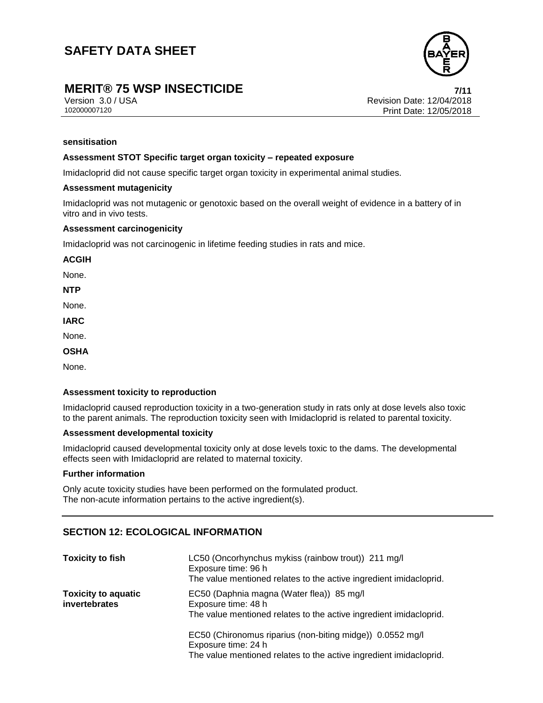

## **MERIT® 75 WSP INSECTICIDE 7/11**

Version 3.0 / USA Revision Date: 12/04/2018<br>102000007120 Print Date: 12/05/2018 Print Date: 12/05/2018

#### **sensitisation**

#### **Assessment STOT Specific target organ toxicity – repeated exposure**

Imidacloprid did not cause specific target organ toxicity in experimental animal studies.

#### **Assessment mutagenicity**

Imidacloprid was not mutagenic or genotoxic based on the overall weight of evidence in a battery of in vitro and in vivo tests.

#### **Assessment carcinogenicity**

Imidacloprid was not carcinogenic in lifetime feeding studies in rats and mice.

**ACGIH**

None.

**NTP**

None.

**IARC**

None.

**OSHA**

None.

#### **Assessment toxicity to reproduction**

Imidacloprid caused reproduction toxicity in a two-generation study in rats only at dose levels also toxic to the parent animals. The reproduction toxicity seen with Imidacloprid is related to parental toxicity.

#### **Assessment developmental toxicity**

Imidacloprid caused developmental toxicity only at dose levels toxic to the dams. The developmental effects seen with Imidacloprid are related to maternal toxicity.

#### **Further information**

Only acute toxicity studies have been performed on the formulated product. The non-acute information pertains to the active ingredient(s).

### **SECTION 12: ECOLOGICAL INFORMATION**

| <b>Toxicity to fish</b>                     | LC50 (Oncorhynchus mykiss (rainbow trout)) 211 mg/l<br>Exposure time: 96 h<br>The value mentioned relates to the active ingredient imidacloprid.       |
|---------------------------------------------|--------------------------------------------------------------------------------------------------------------------------------------------------------|
| <b>Toxicity to aquatic</b><br>invertebrates | EC50 (Daphnia magna (Water flea)) 85 mg/l<br>Exposure time: 48 h<br>The value mentioned relates to the active ingredient imidacloprid.                 |
|                                             | EC50 (Chironomus riparius (non-biting midge)) 0.0552 mg/l<br>Exposure time: 24 h<br>The value mentioned relates to the active ingredient imidacloprid. |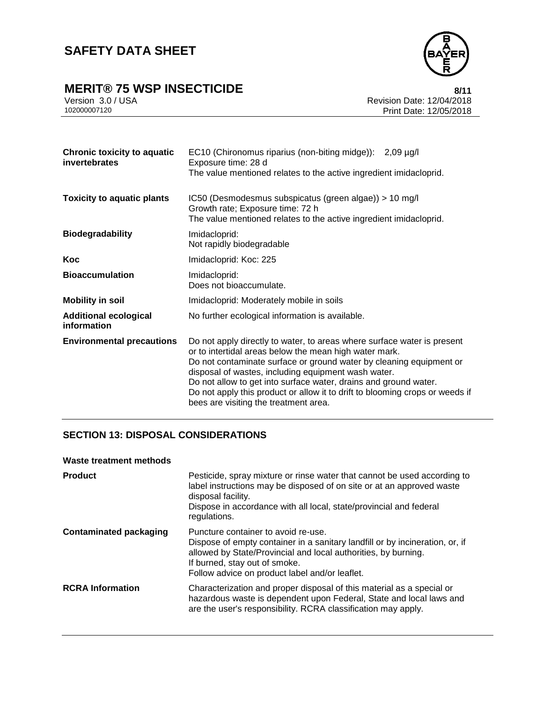

# **MERIT® 75 WSP INSECTICIDE**<br>Version 3.0/USA<br>Revision Date: 12/04/2018

Version 3.0 / USA Revision Date: 12/04/2018<br>102000007120 Print Date: 12/05/2018 Print Date: 12/05/2018

| <b>Chronic toxicity to aquatic</b><br>invertebrates | EC10 (Chironomus riparius (non-biting midge)): 2,09 µg/l<br>Exposure time: 28 d<br>The value mentioned relates to the active ingredient imidacloprid.                                                                                                                                                                                                                                                                                                        |
|-----------------------------------------------------|--------------------------------------------------------------------------------------------------------------------------------------------------------------------------------------------------------------------------------------------------------------------------------------------------------------------------------------------------------------------------------------------------------------------------------------------------------------|
| <b>Toxicity to aquatic plants</b>                   | IC50 (Desmodesmus subspicatus (green algae)) > 10 mg/l<br>Growth rate; Exposure time: 72 h<br>The value mentioned relates to the active ingredient imidacloprid.                                                                                                                                                                                                                                                                                             |
| <b>Biodegradability</b>                             | Imidacloprid:<br>Not rapidly biodegradable                                                                                                                                                                                                                                                                                                                                                                                                                   |
| <b>Koc</b>                                          | Imidacloprid: Koc: 225                                                                                                                                                                                                                                                                                                                                                                                                                                       |
| <b>Bioaccumulation</b>                              | Imidacloprid:<br>Does not bioaccumulate.                                                                                                                                                                                                                                                                                                                                                                                                                     |
| <b>Mobility in soil</b>                             | Imidacloprid: Moderately mobile in soils                                                                                                                                                                                                                                                                                                                                                                                                                     |
| <b>Additional ecological</b><br>information         | No further ecological information is available.                                                                                                                                                                                                                                                                                                                                                                                                              |
| <b>Environmental precautions</b>                    | Do not apply directly to water, to areas where surface water is present<br>or to intertidal areas below the mean high water mark.<br>Do not contaminate surface or ground water by cleaning equipment or<br>disposal of wastes, including equipment wash water.<br>Do not allow to get into surface water, drains and ground water.<br>Do not apply this product or allow it to drift to blooming crops or weeds if<br>bees are visiting the treatment area. |

## **SECTION 13: DISPOSAL CONSIDERATIONS**

#### **Waste treatment methods**

| <b>Product</b>                | Pesticide, spray mixture or rinse water that cannot be used according to<br>label instructions may be disposed of on site or at an approved waste<br>disposal facility.<br>Dispose in accordance with all local, state/provincial and federal<br>regulations.            |
|-------------------------------|--------------------------------------------------------------------------------------------------------------------------------------------------------------------------------------------------------------------------------------------------------------------------|
| <b>Contaminated packaging</b> | Puncture container to avoid re-use.<br>Dispose of empty container in a sanitary landfill or by incineration, or, if<br>allowed by State/Provincial and local authorities, by burning.<br>If burned, stay out of smoke.<br>Follow advice on product label and/or leaflet. |
| <b>RCRA</b> Information       | Characterization and proper disposal of this material as a special or<br>hazardous waste is dependent upon Federal, State and local laws and<br>are the user's responsibility. RCRA classification may apply.                                                            |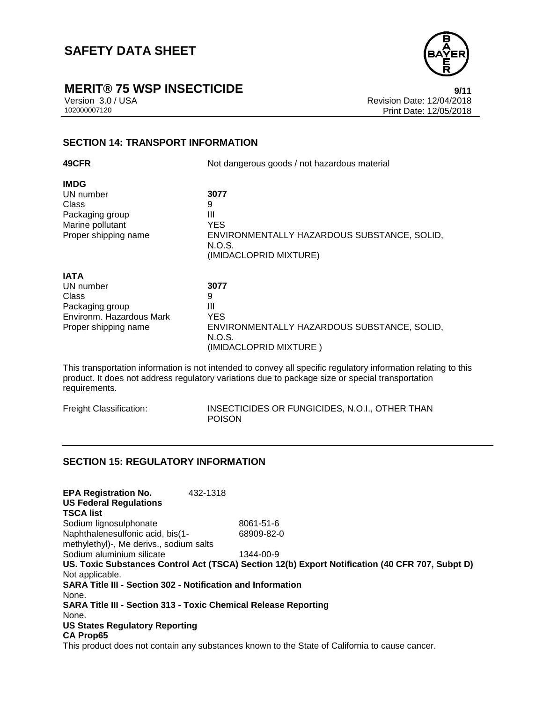

# **MERIT® 75 WSP INSECTICIDE**<br>Version 3.0 / USA **Presion 3.0 / USA**

Version 3.0 / USA <br>102000007120<br>Print Date: 12/05/2018 Print Date: 12/05/2018

## **SECTION 14: TRANSPORT INFORMATION**

| 49CFR                    | Not dangerous goods / not hazardous material          |
|--------------------------|-------------------------------------------------------|
| <b>IMDG</b>              |                                                       |
| UN number                | 3077                                                  |
| Class                    | 9                                                     |
| Packaging group          | Ш                                                     |
| Marine pollutant         | <b>YES</b>                                            |
| Proper shipping name     | ENVIRONMENTALLY HAZARDOUS SUBSTANCE, SOLID,<br>N.O.S. |
|                          | (IMIDACLOPRID MIXTURE)                                |
| <b>IATA</b>              |                                                       |
| UN number                | 3077                                                  |
| Class                    | 9                                                     |
| Packaging group          | Ш                                                     |
| Environm. Hazardous Mark | <b>YES</b>                                            |
| Proper shipping name     | ENVIRONMENTALLY HAZARDOUS SUBSTANCE, SOLID,<br>N.O.S. |
|                          | (IMIDACLOPRID MIXTURE)                                |

This transportation information is not intended to convey all specific regulatory information relating to this product. It does not address regulatory variations due to package size or special transportation requirements.

| Freight Classification: | INSECTICIDES OR FUNGICIDES, N.O.I., OTHER THAN |
|-------------------------|------------------------------------------------|
|                         | <b>POISON</b>                                  |

### **SECTION 15: REGULATORY INFORMATION**

| <b>EPA Registration No.</b>                                            | 432-1318 |                                                                                                 |
|------------------------------------------------------------------------|----------|-------------------------------------------------------------------------------------------------|
| <b>US Federal Regulations</b><br><b>TSCA list</b>                      |          |                                                                                                 |
| Sodium lignosulphonate                                                 |          | 8061-51-6                                                                                       |
| Naphthalenesulfonic acid, bis(1-                                       |          | 68909-82-0                                                                                      |
| methylethyl)-, Me derivs., sodium salts                                |          |                                                                                                 |
| Sodium aluminium silicate                                              |          | 1344-00-9                                                                                       |
|                                                                        |          | US. Toxic Substances Control Act (TSCA) Section 12(b) Export Notification (40 CFR 707, Subpt D) |
| Not applicable.                                                        |          |                                                                                                 |
| <b>SARA Title III - Section 302 - Notification and Information</b>     |          |                                                                                                 |
| None.                                                                  |          |                                                                                                 |
| <b>SARA Title III - Section 313 - Toxic Chemical Release Reporting</b> |          |                                                                                                 |
| None.                                                                  |          |                                                                                                 |
| <b>US States Regulatory Reporting</b>                                  |          |                                                                                                 |
| <b>CA Prop65</b>                                                       |          |                                                                                                 |
|                                                                        |          | This product does not contain any substances known to the Ctate of Colifornia to cause conserve |

This product does not contain any substances known to the State of California to cause cancer.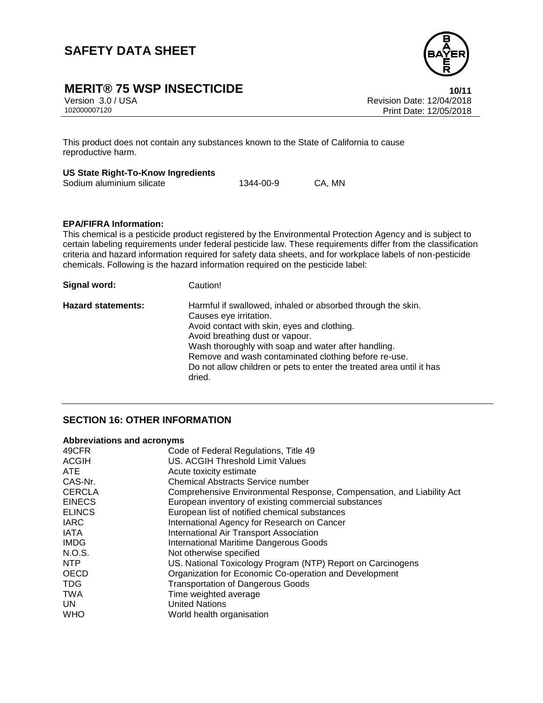

# **MERIT® 75 WSP INSECTICIDE**<br>Version 3.0/USA **10/11**<br>Revision Date: 12/04/2018

Version 3.0 / USA Revision Date: 12/04/2018 Print Date: 12/05/2018

This product does not contain any substances known to the State of California to cause reproductive harm.

#### **US State Right-To-Know Ingredients**

| Sodium aluminium silicate | 1344-00-9 | CA, MN |
|---------------------------|-----------|--------|
|                           |           |        |

#### **EPA/FIFRA Information:**

This chemical is a pesticide product registered by the Environmental Protection Agency and is subject to certain labeling requirements under federal pesticide law. These requirements differ from the classification criteria and hazard information required for safety data sheets, and for workplace labels of non-pesticide chemicals. Following is the hazard information required on the pesticide label:

| Signal word:              | Caution!                                                                                                                                                                                                                                                                                                                                                                 |
|---------------------------|--------------------------------------------------------------------------------------------------------------------------------------------------------------------------------------------------------------------------------------------------------------------------------------------------------------------------------------------------------------------------|
| <b>Hazard statements:</b> | Harmful if swallowed, inhaled or absorbed through the skin.<br>Causes eye irritation.<br>Avoid contact with skin, eyes and clothing.<br>Avoid breathing dust or vapour.<br>Wash thoroughly with soap and water after handling.<br>Remove and wash contaminated clothing before re-use.<br>Do not allow children or pets to enter the treated area until it has<br>dried. |

### **SECTION 16: OTHER INFORMATION**

#### **Abbreviations and acronyms**

| 49CFR         | Code of Federal Regulations, Title 49                                 |
|---------------|-----------------------------------------------------------------------|
| <b>ACGIH</b>  | US. ACGIH Threshold Limit Values                                      |
| <b>ATE</b>    | Acute toxicity estimate                                               |
| CAS-Nr.       | <b>Chemical Abstracts Service number</b>                              |
| <b>CERCLA</b> | Comprehensive Environmental Response, Compensation, and Liability Act |
| <b>EINECS</b> | European inventory of existing commercial substances                  |
| <b>ELINCS</b> | European list of notified chemical substances                         |
| <b>IARC</b>   | International Agency for Research on Cancer                           |
| <b>IATA</b>   | International Air Transport Association                               |
| <b>IMDG</b>   | <b>International Maritime Dangerous Goods</b>                         |
| N.O.S.        | Not otherwise specified                                               |
| NTP           | US. National Toxicology Program (NTP) Report on Carcinogens           |
| <b>OECD</b>   | Organization for Economic Co-operation and Development                |
| <b>TDG</b>    | <b>Transportation of Dangerous Goods</b>                              |
| <b>TWA</b>    | Time weighted average                                                 |
| UN.           | <b>United Nations</b>                                                 |
| <b>WHO</b>    | World health organisation                                             |